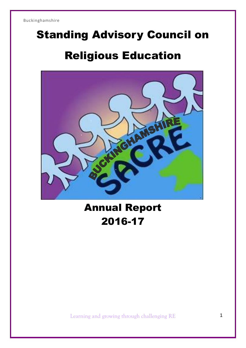# Standing Advisory Council on Religious Education



## Annual Report 2016-17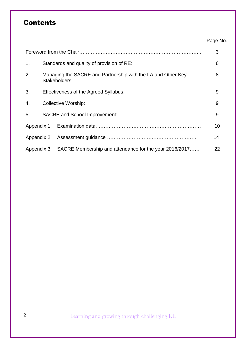## **Contents**

|    |                                                                               | Page No. |
|----|-------------------------------------------------------------------------------|----------|
|    |                                                                               | 3        |
| 1. | Standards and quality of provision of RE:                                     | 6        |
| 2. | Managing the SACRE and Partnership with the LA and Other Key<br>Stakeholders: | 8        |
| 3. | Effectiveness of the Agreed Syllabus:                                         | 9        |
| 4. | <b>Collective Worship:</b>                                                    | 9        |
| 5. | <b>SACRE</b> and School Improvement:                                          | 9        |
|    |                                                                               | 10       |
|    |                                                                               | 14       |
|    | Appendix 3: SACRE Membership and attendance for the year 2016/2017            | 22       |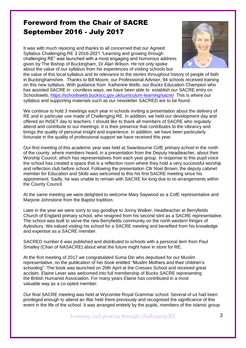## Foreword from the Chair of SACRE September 2016 - July 2017

It was with much rejoicing and thanks to all concerned that our Agreed Syllabus Challenging RE 3 2016-2021 "Learning and growing through challenging RE" was launched with a most engaging and humorous address given by The Bishop of Buckingham, Dr Alan Wilson. He not only spoke about the value of our syllabus from his experiences of visiting schools but



the value of this local syllabus and its relevance to the stories throughout history of people of faith in Buckinghamshire. Thanks to Bill Moore, our Professional Adviser, 94 schools received training on this new syllabus. With guidance from Katherine Wells, our Bucks Education Champion who has assisted SACRE in countless ways, we have been able to establish our SACRE entry on Schoolsweb, <https://schoolsweb.buckscc.gov.uk/curriculum-learning/sacre/>This is where our syllabus and supporting materials such as our newsletter SACRED are to be found.

We continue to hold 3 meetings each year in schools inviting a presentation about the delivery of RE and in particular use made of Challenging RE. In addition, we held our development day and offered an INSET day to teachers. I should like to thank all members of SACRE who regularly attend and contribute to our meetings. It is their presence that contributes to the vibrancy and brings the quality of personal insight and experience. In addition, we have been particularly fortunate in the quality of professional support we have received this year.

Our first meeting of this academic year was held at Swanbourne CofE primary school in the north of the county, where members heard, in a presentation from the Deputy Headteacher, about their Worship Council, which has representatives from each year group. In response to this pupil voice the school has created a space that is a reflection room where they hold a very successful worship and reflection club before school. Following the presentation Cllr Noel Brown, the deputy cabinet member for Education and Skills was welcomed to this his first SACRE meeting since his appointment. Sadly, he was unable to remain with SACRE for long due to re-arrangements within the County Council.

At the same meeting we were delighted to welcome Mary Saywood as a CofE representative and Marjorie Johnstone from the Baptist tradition.

Later in the year we were sorry to say goodbye to Jonny Walker, Headteacher at Berryfields Church of England primary school, who resigned from his second stint as a SACRE representative. The school was built to serve the new Berryfields community on the north western fringes of Aylesbury. We valued visiting his school for a SACRE meeting and benefited from his knowledge and expertise as a SACRE member.

SACRED number 6 was published and distributed to schools with a personal item from Paul Smalley (Chair of NASACRE) about what the future might have in store for RE.

At the first meeting of 2017 we congratulated Suma Din who deputised for our Muslim representative, on the publication of her book entitled "Muslim Mothers and their children's schooling". The book was launched on 20th April at the Cressex School and received great acclaim. Elaine Lever was welcomed into full membership of Bucks SACRE representing the British Humanist Association. For many years Elaine has contributed in a most valuable way as a co-opted member.

Our final SACRE meeting was held at Wycombe Royal Grammar school. Several of us had been privileged enough to attend an Iftar held there previously and recognised the significance of this event in the life of the school. It was arranged entirely by the pupils, members of the Islamic group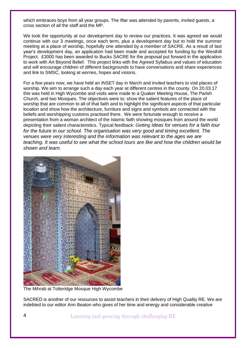which embraces boys from all year groups. The Iftar was attended by parents, invited guests, a cross section of all the staff and the MP.

We took the opportunity at our development day to review our practices. It was agreed we would continue with our 3 meetings, once each term, plus a development day but to hold the summer meeting at a place of worship, hopefully one attended by a member of SACRE. As a result of last year's development day, an application had been made and accepted for funding by the Westhill Project. £3000 has been awarded to Bucks SACRE for the proposal put forward in the application to work with Art Beyond Belief. This project links with the Agreed Syllabus and values of education and will encourage children of different backgrounds to have conversations and share experiences and link to SMSC, looking at worries, hopes and visions.

For a few years now, we have held an INSET day in March and invited teachers to visit places of worship. We aim to arrange such a day each year at different centres in the county. On 20.03.17 this was held in High Wycombe and visits were made to a Quaker Meeting House, The Parish Church, and two Mosques. The objectives were to: show the salient features of the place of worship that are common to all of that faith and to highlight the significant aspects of that particular location and show how the architecture, furniture and signs and symbols are connected with the beliefs and worshipping customs practised there. We were fortunate enough to receive a presentation from a woman architect of the Islamic faith showing mosques from around the world depicting their salient characteristics. Typical feedback: *Getting ideas for venues for a faith tour*  for the future in our school. The organisation was very good and timing excellent. The *venues were very interesting and the information was relevant to the ages we are teaching. It was useful to see what the school tours are like and how the children would be shown and learn.*



The Mihrab at Totteridge Mosque High Wycombe

SACRED is another of our resources to assist teachers in their delivery of High Quality RE. We are indebted to our editor Ann Beaton who gives of her time and energy and considerable creative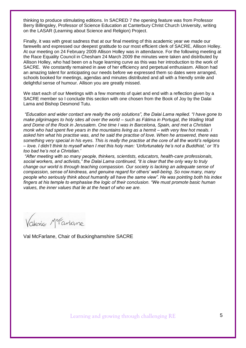thinking to produce stimulating editions. In SACRED 7 the opening feature was from Professor Berry Billingsley, Professor of Science Education at Canterbury Christ Church University, writing on the LASAR (Learning about Science and Religion) Project.

Finally, it was with great sadness that at our final meeting of this academic year we made our farewells and expressed our deepest gratitude to our most efficient clerk of SACRE, Allison Holley. At our meeting on 24 February 2009 Allison Holley was in attendance. For the following meeting at the Race Equality Council in Chesham 24 March 2009 the minutes were taken and distributed by Allison Holley, who had been on a huge learning curve as this was her introduction to the work of SACRE. We constantly remained in awe of her efficiency and perpetual enthusiasm. Allison had an amazing talent for anticipating our needs before we expressed them so dates were arranged, schools booked for meetings, agendas and minutes distributed and all with a friendly smile and delightful sense of humour. Allison you are greatly missed.

We start each of our Meetings with a few moments of quiet and end with a reflection given by a SACRE member so I conclude this section with one chosen from the Book of Joy by the Dalai Lama and Bishop Desmond Tutu.

*"Education and wider contact are really the only solutions", the Dalai Lama replied. "I have gone to make pilgrimages to holy sites all over the world – such as Fátima in Portugal, the Wailing Wall and Dome of the Rock in Jerusalem. One time I was in Barcelona, Spain, and met a Christian monk who had spent five years in the mountains living as a hermit – with very few hot meals. I asked him what his practise was, and he said the practise of love. When he answered, there was something very special in his eyes. This is really the practise at the core of all the world's religions – love. I didn't think to myself when I met this holy man: 'Unfortunately he's not a Buddhist,' or 'It's too bad he's not a Christian.'* 

*"After meeting with so many people, thinkers, scientists, educators, health-care professionals, social workers, and activists," the Dalai Lama continued, "it is clear that the only way to truly change our world is through teaching compassion. Our society is lacking an adequate sense of compassion, sense of kindness, and genuine regard for others' well-being. So now many, many people who seriously think about humanity all have the same view". He was pointing both his index fingers at his temple to emphasise the logic of their conclusion. "We must promote basic human values, the inner values that lie at the heart of who we are.*

Vakine Merartane

Val McFarlane, Chair of Buckinghamshire SACRE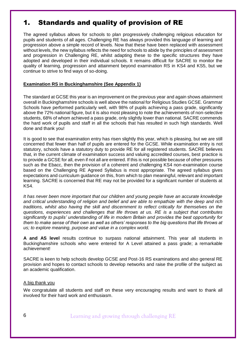## 1. Standards and quality of provision of RE

The agreed syllabus allows for schools to plan progressively challenging religious education for pupils and students of all ages. Challenging RE has always provided this language of learning and progression above a simple record of levels. Now that these have been replaced with assessment without levels, the new syllabus reflects the need for schools to abide by the principles of assessment and progression in Challenging RE, whilst adapting these to the specific structures they have adopted and developed in their individual schools. It remains difficult for SACRE to monitor the quality of learning, progression and attainment beyond examination RS in KS4 and KS5, but we continue to strive to find ways of so-doing.

#### **Examination RS in Buckinghamshire (See Appendix 1)**

The standard at GCSE this year is an improvement on the previous year and again shows attainment overall in Buckinghamshire schools is well above the national for Religious Studies GCSE. Grammar Schools have performed particularly well, with 98% of pupils achieving a pass grade, significantly above the 72% national figure, but it is also most pleasing to note the achievements of non-selective students, 68% of whom achieved a pass grade, only slightly lower than national. SACRE commends the hard work of pupils and staff in all the schools that has resulted in such high standards. Well done and thank you!

It is good to see that examination entry has risen slightly this year, which is pleasing, but we are still concerned that fewer than half of pupils are entered for the GCSE. While examination entry is not statutory, schools have a statutory duty to provide RE for all registered students. SACRE believes that, in the current climate of examination success and valuing accredited courses, best practice is to provide a GCSE for all, even if not all are entered. If this is not possible because of other pressures such as the Ebacc, then the provision of a coherent and challenging KS4 non-examination course based on the Challenging RE Agreed Syllabus is most appropriate. The agreed syllabus gives expectations and curriculum guidance on this, from which to plan meaningful, relevant and important learning. SACRE is concerned that RE may not be provided for a significant number of students at KS4.

*It has never been more important that our children and young people have an accurate knowledge and critical understanding of religion and belief and are able to empathize with the deep and rich traditions, whilst also having the skill and discernment to reflect critically for themselves on the questions, experiences and challenges that life throws at us. RE is a subject that contributes significantly to pupils' understanding of life in modern Britain and provides the best opportunity for them to make sense of their own as well as others' responses to the big questions that life throws at us; to explore meaning, purpose and value in a complex world.*

**A and AS level** results continue to surpass national attainment. This year all students in Buckinghamshire schools who were entered for A Level attained a pass grade; a remarkable achievement!

SACRE is keen to help schools develop GCSE and Post-16 RS examinations and also general RE provision and hopes to contact schools to develop networks and raise the profile of the subject as an academic qualification.

#### A big thank you

We congratulate all students and staff on these very encouraging results and want to thank all involved for their hard work and enthusiasm.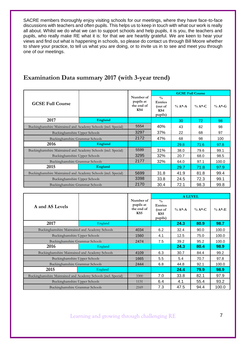SACRE members thoroughly enjoy visiting schools for our meetings, where they have face-to-face discussions with teachers and often pupils. This helps us to keep in touch with what our work is really all about. Whilst we do what we can to support schools and help pupils, it is you, the teachers and pupils, who really make RE what it is: for that we are heartily grateful. We are keen to hear your views and find out what is happening in schools, so please do contact us through Bill Moore whether to share your practice, to tell us what you are doing, or to invite us in to see and meet you through one of our meetings.

#### **Examination Data summary 2017 (with 3-year trend)**

|                                                                |         |                                             | <b>GCSE Full Course</b>                                      |           |            |         |  |
|----------------------------------------------------------------|---------|---------------------------------------------|--------------------------------------------------------------|-----------|------------|---------|--|
| <b>GCSE Full Course</b>                                        |         | Number of<br>pupils at<br>the end of<br>KS4 | $\frac{0}{0}$<br><b>Entries</b><br>(out of<br>KS4<br>pupils) | $\% A^*A$ | $\% A*$ -C | $% A*G$ |  |
| 2017                                                           | England |                                             |                                                              | 30        | 72         | 98      |  |
| Buckinghamshire Maintained and Academy Schools (incl. Special) | 5554    | 40%                                         | 43                                                           | 82        | 98         |         |  |
| Buckinghamshire Upper Schools                                  | 3297    | 37%                                         | 22                                                           | 68        | 97         |         |  |
| Buckinghamshire Grammar Schools                                |         | 2172                                        | 47%                                                          | 68        | 98         | 100     |  |
| 2016                                                           | England |                                             |                                                              | 29.8      | 71.6       | 97.8    |  |
| Buckinghamshire Maintained and Academy Schools (incl. Special) |         | 5599                                        | 31%                                                          | 38.0      | 79.6       | 99.1    |  |
| Buckinghamshire Upper Schools                                  |         | 3295                                        | 32%                                                          | 20.7      | 68.0       | 98.5    |  |
| Buckinghamshire Grammar Schools                                |         | 2177                                        | 32%                                                          | 64.0      | 97.1       | 100.0   |  |
| 2015                                                           | England |                                             |                                                              | 29.7      | 71.8       | 97.9    |  |
| Buckinghamshire Maintained and Academy Schools (incl. Special) |         | 5699                                        | 31.8                                                         | 41.9      | 81.8       | 99.4    |  |
| Buckinghamshire Upper Schools                                  |         | 3398                                        | 33.8                                                         | 24.5      | 72.3       | 99.1    |  |
| Buckinghamshire Grammar Schools                                |         | 2170                                        | 30.4                                                         | 72.1      | 98.3       | 99.8    |  |

|                                                                |         |                                                         | <b>A LEVEL</b>                                               |              |            |           |  |
|----------------------------------------------------------------|---------|---------------------------------------------------------|--------------------------------------------------------------|--------------|------------|-----------|--|
| A and AS Levels                                                |         | Number of<br>pupils at<br>the end of<br>KS <sub>5</sub> | $\frac{0}{0}$<br><b>Entries</b><br>(out of<br>KS5<br>pupils) | $\% A^* - A$ | $\% A*$ -C | $\%$ A*-E |  |
| 2017                                                           | England |                                                         |                                                              | 24.3         | 80.9       | 98.7      |  |
| Buckinghamshire Maintained and Academy Schools                 |         | 4034                                                    | 6.2                                                          | 32.4         | 90.0       | 100.0     |  |
| Buckinghamshire Upper Schools                                  | 1560    | 4.1                                                     | 12.5                                                         | 75.0         | 100.0      |           |  |
| Buckinghamshire Grammar Schools                                |         | 2474                                                    | 7.5                                                          | 39.2         | 95.2       | 100.0     |  |
| 2016                                                           | England |                                                         |                                                              | 24.3         | 80.4       | 98.9      |  |
| Buckinghamshire Maintained and Academy Schools                 |         | 4109                                                    | 6.3                                                          | 30.7         | 84.4       | 99.2      |  |
| <b>Buckinghamshire Upper Schools</b>                           |         | 1665                                                    | 5.5                                                          | 5.4          | 70.7       | 97.8      |  |
| Buckinghamshire Grammar Schools                                |         | 2444                                                    | 6.8                                                          | 44.8         | 92.1       | 100.0     |  |
| 2015                                                           | England |                                                         |                                                              | 24.4         | 79.9       | 98.9      |  |
| Buckinghamshire Maintained and Academy Schools (incl. Special) |         | 3300                                                    | 7.0                                                          | 33.8         | 82.1       | 97.9      |  |
| Buckinghamshire Upper Schools                                  |         | 1131                                                    | 6.4                                                          | 4.1          | 55.4       | 93.2      |  |
| Buckinghamshire Grammar Schools                                |         | 2169                                                    | 7.3                                                          | 47.5         | 94.4       | 100.0     |  |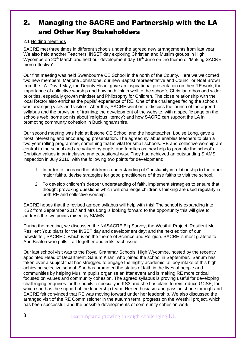## 2. Managing the SACRE and Partnership with the LA and Other Key Stakeholders

#### 2.1 Holding meetings

SACRE met three times in different schools under the agreed new arrangements from last year. We also held another Teachers' INSET day exploring Christian and Muslim groups in High Wycombe on 20<sup>th</sup> March and held our development day 19<sup>th</sup> June on the theme of 'Making SACRE more effective'.

Our first meeting was held Swanbourne CE School in the north of the County. Here we welcomed two new members, Marjorie Johnstone, our new Baptist representative and Councillor Noel Brown from the LA. David May, the Deputy Head, gave an inspirational presentation on their RE work, the importance of collective worship and how both link in well to the school's Christian ethos and wider priorities, especially growth mindset and Philosophy for Children. The close relationship with the local Rector also enriches the pupils' experience of RE. One of the challenges facing the schools was arranging visits and visitors. After this, SACRE went on to discuss the launch of the agreed syllabus and the provision of training; the development of the website, with a specific page on the schools web; some points about 'religious literacy'; and how SACRE can support the LA in promoting community cohesion in Buckinghamshire.

Our second meeting was held at Ibstone CE School and the headteacher, Louise Long, gave a most interesting and encouraging presentation. The agreed syllabus enables teachers to plan a two-year rolling programme, something that is vital for small schools. RE and collective worship are central to the school and are valued by pupils and families as they help to promote the school's Christian values in an inclusive and educational way. They had achieved an outstanding SIAMS inspection in July 2016, with the following two points for development:

- 1. In order to increase the children's understanding of Christianity in relationship to the other major faiths, devise strategies for good practitioners of those faiths to visit the school.
- 2. To develop children's deeper understanding of faith, implement strategies to ensure that thought provoking questions which will challenge children's thinking are used regularly in both RE and collective worship.

SACRE hopes that the revised agreed syllabus will help with this! The school is expanding into KS2 from September 2017 and Mrs Long is looking forward to the opportunity this will give to address the two points raised by SIAMS.

During the meeting, we discussed the NASACRE Big Survey; the Westhill Project, Resilient Me, Resilient You; plans for the INSET day and development day; and the next edition of our newsletter, SACRED, which is on the theme of Science and Religion. SACRE is most grateful to Ann Beaton who pulls it all together and edits each issue.

Our last school visit was to the Royal Grammar Schools, High Wycombe, hosted by the recently appointed Head of Department, Sanum Khan, who joined the school in September. Sanum has taken over a subject that has struggled to engage the highly academic, all boy intake of this highachieving selective school. She has promoted the status of faith in the lives of people and communities by helping Muslim pupils organise an Iftar event and is making RE more critical focused on values and community cohesion. The agreed syllabus is proving useful for developing challenging enquiries for the pupils, especially in KS3 and she has plans to reintroduce GCSE, for which she has the support of the leadership team. Her enthusiasm and passion shone through and SACRE felt convinced that RE was moving forward under her leadership. We also discussed the arranged visit of the RE Commissioner in the autumn term, progress on the Westhill project, which has been successful; and the possible developments of community cohesion work.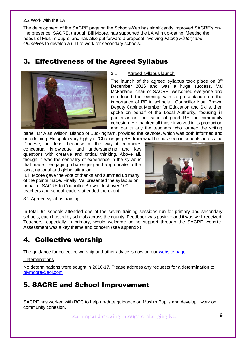#### 2.2 Work with the LA

The development of the SACRE page on the SchoolsWeb has significantly improved SACRE's online presence. SACRE, through Bill Moore, has supported the LA with up-dating 'Meeting the needs of Muslim pupils' and has also put forward a proposal involving *Facing History and Ourselves* to develop a unit of work for secondary schools.

## 3. Effectiveness of the Agreed Syllabus



#### 3.1 Agreed syllabus launch

The launch of the agreed syllabus took place on  $8<sup>th</sup>$ December 2016 and was a huge success. Val McFarlane, chair of SACRE, welcomed everyone and introduced the evening with a presentation on the importance of RE in schools. Councillor Noel Brown, Deputy Cabinet Member for Education and Skills, then spoke on behalf of the Local Authority, focusing in particular on the value of good RE for community cohesion. He thanked all those involved in its production and particularly the teachers who formed the writing

panel. Dr Alan Wilson, Bishop of Buckingham, provided the keynote, which was both informed and entertaining. He spoke very highly of 'Challenging RE' from what he has seen in schools across the

Diocese, not least because of the way it combines conceptual knowledge and understanding and key questions with creative and critical thinking. Above all, though, it was the centrality of experience in the syllabus that made it engaging, challenging and appropriate to the local, national and global situation.

Bill Moore gave the vote of thanks and summed up many of the points made. Finally, Val presented the syllabus on behalf of SACRE to Councillor Brown. Just over 100 teachers and school leaders attended the event.



#### 3.2 Agreed syllabus training

In total, 94 schools attended one of the seven training sessions run for primary and secondary schools, each hosted by schools across the county. Feedback was positive and it was well-received. Teachers, especially in primary, would welcome online support through the SACRE website. Assessment was a key theme and concern (see appendix)

#### 4. Collective worship

The guidance for collective worship and other advice is now on our [website page.](https://schoolsweb.buckscc.gov.uk/sacre/)

#### **Determinations**

No determinations were sought in 2016-17. Please address any requests for a determination to [bjvmoore@aol.com](mailto:bjvmoore@aol.com)

#### 5. SACRE and School Improvement

SACRE has worked with BCC to help up-date guidance on Muslim Pupils and develop work on community cohesion.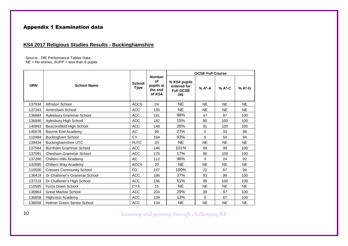#### Appendix 1 Examination data

#### **KS4 2017 Religious Studies Results - Buckinghamshire**

Source - DfE Performance Tables Data  $NE = No$  entries,  $SUPP = less$  than 6 pupils

|            |                                 |                              |                                                       | <b>GCSE Full Course</b>                                      |           |           |           |
|------------|---------------------------------|------------------------------|-------------------------------------------------------|--------------------------------------------------------------|-----------|-----------|-----------|
| <b>URN</b> | <b>School Name</b>              | <b>School</b><br><b>Type</b> | <b>Number</b><br>of<br>pupils at<br>the end<br>of KS4 | % KS4 pupils<br>entered for<br><b>Full GCSE</b><br><b>RS</b> | % A*-A    | % A*-C    | % A*-G    |
| 137934     | <b>Alfriston School</b>         | <b>ACCS</b>                  | 24                                                    | <b>NE</b>                                                    | <b>NE</b> | <b>NE</b> | <b>NE</b> |
| 137343     | Amersham School                 | ACC                          | 135                                                   | <b>NE</b>                                                    | <b>NE</b> | <b>NE</b> | <b>NE</b> |
| 136884     | Aylesbury Grammar School        | <b>ACC</b>                   | 181                                                   | 98%                                                          | 47        | 97        | 100       |
| 136846     | Aylesbury High School           | <b>ACC</b>                   | 182                                                   | 15%                                                          | 85        | 100       | 100       |
| 140893     | Beaconsfield High School        | <b>ACC</b>                   | 148                                                   | 28%                                                          | 81        | 100       | 100       |
| 140678     | Bourne End Academy              | AC                           | 99                                                    | 27%                                                          | 0         | 33        | 96        |
| 110484     | Buckingham School               | CY                           | 164                                                   | 93%                                                          | 9         | 50        | 94        |
| 139434     | Buckinghamshire UTC             | <b>FUTC</b>                  | 25                                                    | <b>NE</b>                                                    | <b>NE</b> | <b>NE</b> | NE.       |
| 137564     | Burnham Grammar School          | <b>ACC</b>                   | 146                                                   | 101%                                                         | 69        | 99        | 100       |
| 137091     | Chesham Grammar School          | <b>ACC</b>                   | 175                                                   | 17%                                                          | 80        | 100       | 100       |
| 137280     | Chiltern Hills Academy          | AC                           | 112                                                   | 96%                                                          | 3         | 24        | 92        |
| 142695     | Chiltern Way Academy            | <b>ACCS</b>                  | 20                                                    | <b>NE</b>                                                    | <b>NE</b> | <b>NE</b> | <b>NE</b> |
| 110500     | <b>Cressex Community School</b> | <b>FD</b>                    | 147                                                   | 100%                                                         | 22        | 67        | 94        |
| 136419     | Dr Challoner's Grammar School   | <b>ACC</b>                   | 186                                                   | 37%                                                          | 83        | 99        | 100       |
| 137219     | Dr Challoner's High School      | <b>ACC</b>                   | 156                                                   | 51%                                                          | 95        | 100       | 100       |
| 110585     | <b>Furze Down School</b>        | <b>CYS</b>                   | 15                                                    | <b>NE</b>                                                    | <b>NE</b> | <b>NE</b> | <b>NE</b> |
| 136964     | <b>Great Marlow School</b>      | <b>ACC</b>                   | 204                                                   | 29%                                                          | 38        | 97        | 100       |
| 136858     | <b>Highcrest Academy</b>        | ACC                          | 139                                                   | 13%                                                          | $\Omega$  | 67        | 100       |
| 138058     | Holmer Green Senior School      | <b>ACC</b>                   | 134                                                   | <b>NE</b>                                                    | <b>NE</b> | <b>NE</b> | <b>NE</b> |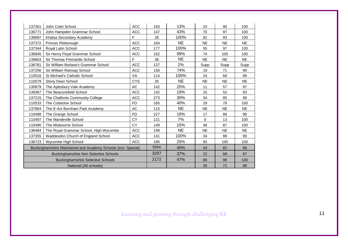| 137261 | John Colet School                                              | <b>ACC</b> | 163  | 13%       | 24        | 90        | 100       |
|--------|----------------------------------------------------------------|------------|------|-----------|-----------|-----------|-----------|
| 136771 | John Hampden Grammar School                                    | <b>ACC</b> | 147  | 43%       | 70        | 97        | 100       |
| 139897 | Khalsa Secondary Academy                                       | F          | 28   | 100%      | 82        | 93        | 100       |
| 137372 | Princes Risborough                                             | <b>ACC</b> | 164  | <b>NE</b> | <b>NE</b> | <b>NE</b> | <b>NE</b> |
| 137344 | Royal Latin School                                             | <b>ACC</b> | 177  | 100%      | 55        | 97        | 100       |
| 136845 | Sir Henry Floyd Grammar School                                 | <b>ACC</b> | 152  | 99%       | 74        | 100       | 100       |
| 139663 | Sir Thomas Fremantle School                                    | F.         | 38   | <b>NE</b> | <b>NE</b> | <b>NE</b> | <b>NE</b> |
| 136781 | Sir William Borlase's Grammar School                           | <b>ACC</b> | 137  | 2%        | Supp      | Supp      | Supp      |
| 137256 | Sir William Ramsay School                                      | <b>ACC</b> | 156  | 74%       | 19        | 71        | 99        |
| 110516 | St Michael's Catholic School                                   | VA         | 114  | 100%      | 24        | 68        | 99        |
| 110579 | Stony Dean School                                              | <b>CYS</b> | 26   | <b>NE</b> | <b>NE</b> | <b>NE</b> | <b>NE</b> |
| 135879 | The Aylesbury Vale Academy                                     | AC         | 142  | 25%       | 11        | 57        | 97        |
| 139367 | The Beaconsfield School                                        | <b>ACC</b> | 142  | 19%       | 15        | 52        | 93        |
| 137215 | The Chalfonts Community College                                | <b>ACC</b> | 273  | 30%       | 34        | 85        | 98        |
| 110533 | The Cottesloe School                                           | <b>FD</b>  | 165  | 40%       | 29        | 79        | 100       |
| 137864 | The E-Act Burnham Park Academy                                 | AC         | 115  | <b>NE</b> | <b>NE</b> | <b>NE</b> | <b>NE</b> |
| 110488 | The Grange School                                              | <b>FD</b>  | 227  | 19%       | 17        | 86        | 98        |
| 110497 | The Mandeville School                                          | CY         | 121  | 7%        | $\Omega$  | 13        | 100       |
| 110490 | The Misbourne School                                           | <b>CY</b>  | 149  | 15%       | 48        | 87        | 100       |
| 136484 | The Royal Grammar School, High Wycombe                         | <b>ACC</b> | 199  | <b>NE</b> | <b>NE</b> | <b>NE</b> | <b>NE</b> |
| 137355 | Waddesdon Church of England School                             | <b>ACC</b> | 141  | 100%      | 34        | 88        | 99        |
| 136723 | Wycombe High School                                            | <b>ACC</b> | 186  | 25%       | 83        | 100       | 100       |
|        | Buckinghamshire Maintained and Academy Schools (incl. Special) |            |      | 40%       | 43        | 82        | 98        |
|        | <b>Buckinghamshire Non Selective Schools</b>                   |            | 3297 | 37%       | 22        | 68        | 97        |
|        | <b>Buckinghamshire Selective Schools</b>                       |            | 2172 | 47%       | 68        | 98        | 100       |
|        | National (All schools)                                         |            |      |           | 30        | 72        | 98        |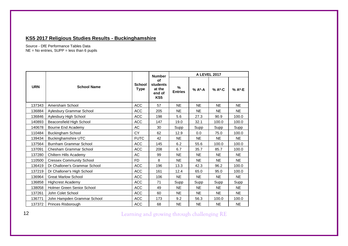#### **KS5 2017 Religious Studies Results - Buckinghamshire**

Source - DfE Performance Tables Data NE = No entries, SUPP = less than 6 pupils

|            |                                 | <b>Number</b>                |                                                                     | <b>A LEVEL 2017</b> |             |           |             |  |
|------------|---------------------------------|------------------------------|---------------------------------------------------------------------|---------------------|-------------|-----------|-------------|--|
| <b>URN</b> | <b>School Name</b>              | <b>School</b><br><b>Type</b> | <b>of</b><br><b>students</b><br>at the<br>end of<br>KS <sub>5</sub> | %<br><b>Entries</b> | % A*-A      | % A*-C    | % A*-E      |  |
| 137343     | Amersham School                 | <b>ACC</b>                   | 57                                                                  | NE.                 | <b>NE</b>   | <b>NE</b> | <b>NE</b>   |  |
| 136884     | Aylesbury Grammar School        | <b>ACC</b>                   | 205                                                                 | <b>NE</b>           | <b>NE</b>   | <b>NE</b> | <b>NE</b>   |  |
| 136846     | Aylesbury High School           | <b>ACC</b>                   | 198                                                                 | 5.6                 | 27.3        | 90.9      | 100.0       |  |
| 140893     | Beaconsfield High School        | <b>ACC</b>                   | 147                                                                 | 19.0                | 32.1        | 100.0     | 100.0       |  |
| 140678     | Bourne End Academy              | AC                           | 30                                                                  | <b>Supp</b>         | <b>Supp</b> | Supp      | <b>Supp</b> |  |
| 110484     | <b>Buckingham School</b>        | <b>CY</b>                    | 62                                                                  | 12.9                | 0.0         | 75.0      | 100.0       |  |
| 139434     | Buckinghamshire UTC             | <b>FUTC</b>                  | 42                                                                  | NE.                 | NE.         | <b>NE</b> | NE.         |  |
| 137564     | Burnham Grammar School          | <b>ACC</b>                   | 145                                                                 | 6.2                 | 55.6        | 100.0     | 100.0       |  |
| 137091     | Chesham Grammar School          | <b>ACC</b>                   | 208                                                                 | 6.7                 | 35.7        | 85.7      | 100.0       |  |
| 137280     | Chiltern Hills Academy          | AC                           | 99                                                                  | NE.                 | <b>NE</b>   | NE.       | NE.         |  |
| 110500     | <b>Cressex Community School</b> | F <sub>D</sub>               | 8                                                                   | NE.                 | NE.         | <b>NE</b> | <b>NE</b>   |  |
| 136419     | Dr Challoner's Grammar School   | <b>ACC</b>                   | 196                                                                 | 13.3                | 42.3        | 96.2      | 100.0       |  |
| 137219     | Dr Challoner's High School      | <b>ACC</b>                   | 161                                                                 | 12.4                | 65.0        | 95.0      | 100.0       |  |
| 136964     | <b>Great Marlow School</b>      | <b>ACC</b>                   | 106                                                                 | NE.                 | NE.         | <b>NE</b> | <b>NE</b>   |  |
| 136858     | <b>Highcrest Academy</b>        | ACC                          | 71                                                                  | Supp                | <b>Supp</b> | Supp      | Supp        |  |
| 138058     | Holmer Green Senior School      | <b>ACC</b>                   | 49                                                                  | NE.                 | <b>NE</b>   | <b>NE</b> | <b>NE</b>   |  |
| 137261     | John Colet School               | <b>ACC</b>                   | 60                                                                  | NE.                 | <b>NE</b>   | <b>NE</b> | <b>NE</b>   |  |
| 136771     | John Hampden Grammar School     | ACC                          | 173                                                                 | 9.2                 | 56.3        | 100.0     | 100.0       |  |
| 137372     | Princes Risborough              | <b>ACC</b>                   | 68                                                                  | <b>NE</b>           | <b>NE</b>   | <b>NE</b> | <b>NE</b>   |  |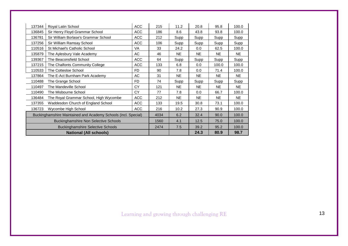| 137344 | Royal Latin School                                             | <b>ACC</b> | 215 | 11.2      | 20.8        | 95.8        | 100.0       |
|--------|----------------------------------------------------------------|------------|-----|-----------|-------------|-------------|-------------|
| 136845 | Sir Henry Floyd Grammar School                                 | <b>ACC</b> | 186 | 8.6       | 43.8        | 93.8        | 100.0       |
| 136781 | Sir William Borlase's Grammar School                           | <b>ACC</b> | 212 | Supp      | Supp        | Supp        | <b>Supp</b> |
| 137256 | Sir William Ramsay School                                      | <b>ACC</b> | 106 | Supp      | <b>Supp</b> | Supp        | Supp        |
| 110516 | St Michael's Catholic School                                   | VA         | 33  | 24.2      | 0.0         | 62.5        | 100.0       |
| 135879 | The Aylesbury Vale Academy                                     | AC         | 46  | <b>NE</b> | <b>NE</b>   | <b>NE</b>   | NE.         |
| 139367 | The Beaconsfield School                                        | <b>ACC</b> | 64  | Supp      | Supp        | Supp        | Supp        |
| 137215 | The Chalfonts Community College                                | <b>ACC</b> | 133 | 6.8       | 0.0         | 100.0       | 100.0       |
| 110533 | The Cottesloe School                                           | FD.        | 90  | 7.8       | 0.0         | 71.4        | 100.0       |
| 137864 | The E-Act Burnham Park Academy                                 | AC         | 31  | <b>NE</b> | <b>NE</b>   | NE.         | <b>NE</b>   |
| 110488 | FD.<br>The Grange School                                       |            |     | Supp      | Supp        | <b>Supp</b> | <b>Supp</b> |
| 110497 | The Mandeville School                                          | СY         | 121 | <b>NE</b> | <b>NE</b>   | <b>NE</b>   | NE.         |
| 110490 | The Misbourne School                                           | CY         | 77  | 7.8       | 0.0         | 66.7        | 100.0       |
| 136484 | The Royal Grammar School, High Wycombe                         | <b>ACC</b> | 212 | <b>NE</b> | NE.         | <b>NE</b>   | <b>NE</b>   |
| 137355 | Waddesdon Church of England School                             | <b>ACC</b> | 133 | 19.5      | 30.8        | 73.1        | 100.0       |
| 136723 | Wycombe High School                                            | <b>ACC</b> | 216 | 10.2      | 27.3        | 90.9        | 100.0       |
|        | Buckinghamshire Maintained and Academy Schools (incl. Special) |            |     | 6.2       | 32.4        | 90.0        | 100.0       |
|        | <b>Buckinghamshire Non Selective Schools</b>                   |            |     | 4.1       | 12.5        | 75.0        | 100.0       |
|        | <b>Buckinghamshire Selective Schools</b>                       |            |     | 7.5       | 39.2        | 95.2        | 100.0       |
|        | <b>National (All schools)</b>                                  |            |     |           | 24.3        | 80.9        | 98.7        |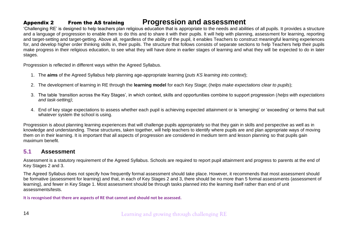## Appendix 2 From the AS training **Progression and assessment**

'Challenging RE' is designed to help teachers plan religious education that is appropriate to the needs and abilities of all pupils. It provides a structure and a language of progression to enable them to do this and to share it with their pupils. It will help with planning, assessment for learning, reporting and target-setting and target-getting. Above all, regardless of the ability of the pupil, it enables Teachers to construct meaningful learning experiences for, and develop higher order thinking skills in, their pupils. The structure that follows consists of separate sections to help Teachers help their pupils make progress in their religious education, to see what they will have done in earlier stages of learning and what they will be expected to do in later stages.

Progression is reflected in different ways within the Agreed Syllabus.

- 1. The **aims** of the Agreed Syllabus help planning age-appropriate learning (*puts KS learning into context*);
- 2. The development of learning in RE through the **learning model** for each Key Stage; (*helps make expectations clear to pupils*);
- 3. The table 'transition across the Key Stages', in which context, skills and opportunities combine to support progression (*helps with expectations and task-setting)*;
- 4. End of key stage expectations to assess whether each pupil is achieving expected attainment or is 'emerging' or 'exceeding' or terms that suit whatever system the school is using.

Progression is about planning learning experiences that will challenge pupils appropriately so that they gain in skills and perspective as well as in knowledge and understanding. These structures, taken together, will help teachers to identify where pupils are and plan appropriate ways of moving them on in their learning. It is important that all aspects of progression are considered in medium term and lesson planning so that pupils gain maximum benefit.

#### **5.1 Assessment**

Assessment is a statutory requirement of the Agreed Syllabus. Schools are required to report pupil attainment and progress to parents at the end of Key Stages 2 and 3.

The Agreed Syllabus does not specify how frequently formal assessment should take place. However, it recommends that most assessment should be formative (assessment for learning) and that, in each of Key Stages 2 and 3, there should be no more than 5 formal assessments (assessment of learning), and fewer in Key Stage 1. Most assessment should be through tasks planned into the learning itself rather than end of unit assessments/tests.

**It is recognised that there are aspects of RE that cannot and should not be assessed.**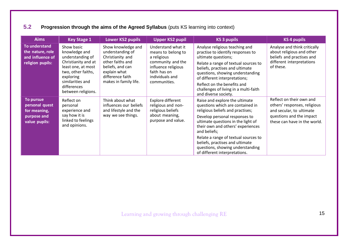## **5.2 Progression through the aims of the Agreed Syllabus** (puts KS learning into context)

| <b>Aims</b>                                                                 | <b>Key Stage 1</b>                                                                                                                                                                       | <b>Lower KS2 pupils</b>                                                                                                                                         | <b>Upper KS2 pupil</b>                                                                                                                                 | <b>KS 3 pupils</b>                                                                                                                                                                                                                                                                                                                                                                 | <b>KS 4 pupils</b>                                                                                                                               |
|-----------------------------------------------------------------------------|------------------------------------------------------------------------------------------------------------------------------------------------------------------------------------------|-----------------------------------------------------------------------------------------------------------------------------------------------------------------|--------------------------------------------------------------------------------------------------------------------------------------------------------|------------------------------------------------------------------------------------------------------------------------------------------------------------------------------------------------------------------------------------------------------------------------------------------------------------------------------------------------------------------------------------|--------------------------------------------------------------------------------------------------------------------------------------------------|
| To understand<br>the nature, role<br>and influence of<br>religion pupils:   | Show basic<br>knowledge and<br>understanding of<br>Christianity and at<br>least one, at most<br>two, other faiths,<br>exploring<br>similarities and<br>differences<br>between religions. | Show knowledge and<br>understanding of<br>Christianity and<br>other faiths and<br>beliefs, and can<br>explain what<br>difference faith<br>makes in family life. | Understand what it<br>means to belong to<br>a religious<br>community and the<br>influence religious<br>faith has on<br>individuals and<br>communities. | Analyse religious teaching and<br>practise to identify responses to<br>ultimate questions;<br>Relate a range of textual sources to<br>beliefs, practises and ultimate<br>questions, showing understanding<br>of different interpretations;<br>Reflect on the benefits and<br>challenges of living in a multi-faith<br>and diverse society.                                         | Analyse and think critically<br>about religious and other<br>beliefs and practises and<br>different interpretations<br>of these.                 |
| To pursue<br>personal quest<br>for meaning,<br>purpose and<br>value pupils: | Reflect on<br>personal<br>experience and<br>say how it is<br>linked to feelings<br>and opinions.                                                                                         | Think about what<br>influences our beliefs<br>and lifestyle and the<br>way we see things.                                                                       | Explore different<br>religious and non-<br>religious beliefs<br>about meaning,<br>purpose and value.                                                   | Raise and explore the ultimate<br>questions which are contained in<br>religious beliefs and practises;<br>Develop personal responses to<br>ultimate questions in the light of<br>their own and others' experiences<br>and beliefs;<br>Relate a range of textual sources to<br>beliefs, practises and ultimate<br>questions, showing understanding<br>of different interpretations. | Reflect on their own and<br>others' responses, religious<br>and secular, to ultimate<br>questions and the impact<br>these can have in the world. |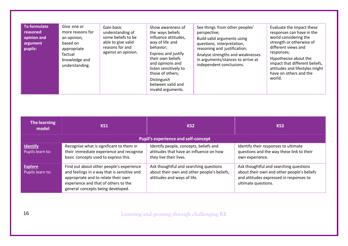| <b>To formulate</b><br>reasoned<br>opinion and<br>argument<br>pupils: | Give one or<br>more reasons for<br>an opinion,<br>based on<br>appropriate<br>factual<br>knowledge and<br>understanding. | Gain basic<br>understanding of<br>some beliefs to be<br>able to give valid<br>reasons for and<br>against an opinion. | Show awareness of<br>the ways beliefs<br>influence attitudes,<br>way of life and<br>behavior;<br>Express and justify<br>their own beliefs<br>and opinions and<br>listen sensitively to<br>those of others;<br>Distinguish<br>between valid and<br>invalid arguments. | See things from other peoples'<br>perspective;<br>Build valid arguments using<br>questions, interpretation,<br>reasoning and justification;<br>Analyse strengths and weaknesses<br>in arguments/stances to arrive at<br>independent conclusions. | Evaluate the impact these<br>responses can have in the<br>world considering the<br>strength or otherwise of<br>different views and<br>responses;<br>Hypothesise about the<br>impact that different beliefs,<br>attitudes and lifestyles might<br>have on others and the<br>world. |
|-----------------------------------------------------------------------|-------------------------------------------------------------------------------------------------------------------------|----------------------------------------------------------------------------------------------------------------------|----------------------------------------------------------------------------------------------------------------------------------------------------------------------------------------------------------------------------------------------------------------------|--------------------------------------------------------------------------------------------------------------------------------------------------------------------------------------------------------------------------------------------------|-----------------------------------------------------------------------------------------------------------------------------------------------------------------------------------------------------------------------------------------------------------------------------------|
|-----------------------------------------------------------------------|-------------------------------------------------------------------------------------------------------------------------|----------------------------------------------------------------------------------------------------------------------|----------------------------------------------------------------------------------------------------------------------------------------------------------------------------------------------------------------------------------------------------------------------|--------------------------------------------------------------------------------------------------------------------------------------------------------------------------------------------------------------------------------------------------|-----------------------------------------------------------------------------------------------------------------------------------------------------------------------------------------------------------------------------------------------------------------------------------|

| The learning<br>model               | KS1                                                                                                                                                                                                         | KS <sub>2</sub>                                                                                                      | KS <sub>3</sub>                                                                                                                                        |
|-------------------------------------|-------------------------------------------------------------------------------------------------------------------------------------------------------------------------------------------------------------|----------------------------------------------------------------------------------------------------------------------|--------------------------------------------------------------------------------------------------------------------------------------------------------|
|                                     |                                                                                                                                                                                                             | <b>Pupil's experience and self-concept</b>                                                                           |                                                                                                                                                        |
| <b>Identify</b><br>Pupils learn to: | Recognise what is significant to them in<br>their immediate experience and recognise<br>basic concepts used to express this.                                                                                | Identify people, concepts, beliefs and<br>attitudes that have an influence on how<br>they live their lives.          | Identify their responses to ultimate<br>questions and the way these link to their<br>own experience.                                                   |
| <b>Explore</b><br>Pupils learn to:  | Find out about other people's experience<br>and feelings in a way that is sensitive and<br>appropriate and to relate their own<br>experience and that of others to the<br>general concepts being developed. | Ask thoughtful and searching questions<br>about their own and other people's beliefs,<br>attitudes and ways of life. | Ask thoughtful and searching questions<br>about their own and other people's beliefs<br>and attitudes expressed in responses to<br>ultimate questions. |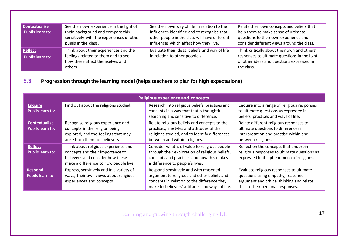| <b>Contextualise</b><br>Pupils learn to: | See their own experience in the light of<br>their background and compare this<br>sensitively with the experiences of other<br>pupils in the class. | See their own way of life in relation to the<br>influences identified and to recognise that<br>other people in the class will have different<br>influences which affect how they live. | Relate their own concepts and beliefs that<br>help them to make sense of ultimate<br>questions to their own experience and<br>consider different views around the class. |
|------------------------------------------|----------------------------------------------------------------------------------------------------------------------------------------------------|----------------------------------------------------------------------------------------------------------------------------------------------------------------------------------------|--------------------------------------------------------------------------------------------------------------------------------------------------------------------------|
| <b>Reflect</b><br>Pupils learn to:       | Think about their experiences and the<br>feelings related to them and to see<br>how these affect themselves and<br>others.                         | Evaluate their ideas, beliefs and way of life<br>in relation to other people's.                                                                                                        | Think critically about their own and others'<br>responses to ultimate questions in the light<br>of other ideas and questions expressed in<br>the class.                  |

**5.3 Progression through the learning model (helps teachers to plan for high expectations)**

|                                          | <b>Religious experience and concepts</b>                                                                                                              |                                                                                                                                                                                       |                                                                                                                                                                 |  |  |  |  |  |  |  |
|------------------------------------------|-------------------------------------------------------------------------------------------------------------------------------------------------------|---------------------------------------------------------------------------------------------------------------------------------------------------------------------------------------|-----------------------------------------------------------------------------------------------------------------------------------------------------------------|--|--|--|--|--|--|--|
| <b>Enquire</b><br>Pupils learn to:       | Find out about the religions studied.                                                                                                                 | Research into religious beliefs, practises and<br>concepts in a way that that is thoughtful,<br>searching and sensitive to difference.                                                | Enquire into a range of religious responses<br>to ultimate questions as expressed in<br>beliefs, practises and ways of life.                                    |  |  |  |  |  |  |  |
| <b>Contextualise</b><br>Pupils learn to: | Recognise religious experience and<br>concepts in the religion being<br>explored, and the feelings that may<br>arise from them for believers.         | Relate religious beliefs and concepts to the<br>practises, lifestyles and attitudes of the<br>religions studied, and to identify differences<br>between and within religions.         | Relate different religious responses to<br>ultimate questions to differences in<br>interpretation and practise within and<br>between religions.                 |  |  |  |  |  |  |  |
| <b>Reflect</b><br>Pupils learn to:       | Think about religious experience and<br>concepts and their importance to<br>believers and consider how these<br>make a difference to how people live. | Consider what is of value to religious people<br>through their exploration of religious beliefs,<br>concepts and practises and how this makes<br>a difference to people's lives.      | Reflect on the concepts that underpin<br>religious responses to ultimate questions as<br>expressed in the phenomena of religions.                               |  |  |  |  |  |  |  |
| <b>Respond</b><br>Pupils learn to:       | Express, sensitively and in a variety of<br>ways, their own views about religious<br>experiences and concepts.                                        | Respond sensitively and with reasoned<br>argument to religious and other beliefs and<br>concepts in relation to the difference they<br>make to believers' attitudes and ways of life. | Evaluate religious responses to ultimate<br>questions using empathy, reasoned<br>argument and critical thinking and relate<br>this to their personal responses. |  |  |  |  |  |  |  |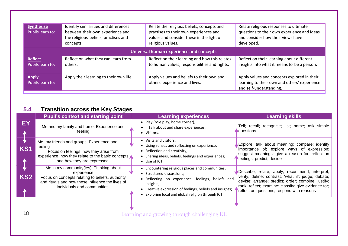| <b>Synthesise</b><br>Pupils learn to: | Identify similarities and differences<br>between their own experience and<br>the religious beliefs, practises and<br>concepts. | Relate the religious beliefs, concepts and<br>practises to their own experiences and<br>values and consider these in the light of<br>religious values. | Relate religious responses to ultimate<br>questions to their own experience and ideas<br>and consider how their views have<br>developed. |  |  |  |
|---------------------------------------|--------------------------------------------------------------------------------------------------------------------------------|--------------------------------------------------------------------------------------------------------------------------------------------------------|------------------------------------------------------------------------------------------------------------------------------------------|--|--|--|
|                                       | Universal human experience and concepts                                                                                        |                                                                                                                                                        |                                                                                                                                          |  |  |  |
| <b>Reflect</b><br>Pupils learn to:    | Reflect on what they can learn from<br>others.                                                                                 | Reflect on their learning and how this relates<br>to human values, responsibilities and rights.                                                        | Reflect on their learning about different<br>insights into what it means to be a person.                                                 |  |  |  |
| <b>Apply</b><br>Pupils learn to:      | Apply their learning to their own life.                                                                                        | Apply values and beliefs to their own and<br>others' experience and lives.                                                                             | Apply values and concepts explored in their<br>learning to their own and others' experience<br>and self-understanding.                   |  |  |  |

## **5.4 Transition across the Key Stages**

|                    | <b>Pupil's context and starting point</b>                                                                                                                                                      | <b>Learning experiences</b>                                                                                                                                                                                                                                       | <b>Learning skills</b>                                                                                                                                                                                                                                              |
|--------------------|------------------------------------------------------------------------------------------------------------------------------------------------------------------------------------------------|-------------------------------------------------------------------------------------------------------------------------------------------------------------------------------------------------------------------------------------------------------------------|---------------------------------------------------------------------------------------------------------------------------------------------------------------------------------------------------------------------------------------------------------------------|
| EY<br>∧            | Me and my family and home. Experience and<br>feeling                                                                                                                                           | • Play (role play; home corner);<br>Talk about and share experiences;<br>• Visitors.                                                                                                                                                                              | Tell; recall; recognise; list; name; ask simple<br><b>Aquestions</b>                                                                                                                                                                                                |
| KS1<br>$\bigwedge$ | Me, my friends and groups. Experience and<br>feeling<br>Focus on feelings, how they arise from<br>experience, how they relate to the basic concepts<br>and how they are expressed.             | • Visits and visitors;<br>• Using senses and reflecting on experience;<br>• Reflection and creativity;<br>• Sharing ideas, beliefs, feelings and experiences;<br>$\bullet$ Use of ICT.                                                                            | Explore; talk about meaning; compare; identify<br>importance of; explore ways of expression;<br>suggest meanings; give a reason for; reflect on<br>Meelings; predict; decide                                                                                        |
| KS <sub>2</sub>    | Me in my community (ies). Thinking about<br>experience<br>Focus on concepts relating to beliefs, authority<br>and rituals and how these influence the lives of<br>individuals and communities. | • Encountering religious places and communities;<br>• Structured discussions;<br>• Reflecting on experience, feelings, beliefs and<br>insights;<br>• Creative expression of feelings, beliefs and insights;<br>• Exploring local and global religion through ICT. | Describe; relate; apply; recommend; interpret;<br>verify; define; contrast; 'what if'; judge; debate;<br>devise; arrange; predict; order; combine; justify;  <br>rank; reflect; examine; classify; give evidence for;<br>reflect on questions; respond with reasons |
|                    |                                                                                                                                                                                                |                                                                                                                                                                                                                                                                   |                                                                                                                                                                                                                                                                     |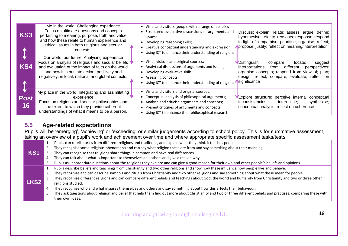| KS3               | Me in the world. Challenging experience<br>Focus on ultimate questions and concepts<br>pertaining to meaning, purpose, truth and value<br>and how these relate to human experience and<br>ethical issues in both religious and secular<br>contexts.             | • Visits and visitors (people with a range of beliefs);<br>• Structured evaluative discussions of arguments and<br>issues;<br>Developing reasoning skills;<br>Creative conceptual understanding and expression;<br>$\bullet$<br>• Using ICT to enhance their understanding of religion. | Discuss; explain; relate; assess; argue; define;<br>hypothesise; refer to; reasoned response; respond<br>in light of; empathise; prioritise; organise; reflect;<br>propose; justify; reflect on meaning/interpretation      |
|-------------------|-----------------------------------------------------------------------------------------------------------------------------------------------------------------------------------------------------------------------------------------------------------------|-----------------------------------------------------------------------------------------------------------------------------------------------------------------------------------------------------------------------------------------------------------------------------------------|-----------------------------------------------------------------------------------------------------------------------------------------------------------------------------------------------------------------------------|
| KS4               | Our world, our future. Analysing experience<br>Focus on analysis of religious and secular beliefs<br>and evaluation of the impact of faith on the world<br>and how it is put into action, positively and<br>negatively, in local, national and global contexts. | • Visits, visitors and original sources;<br>• Analytical discussions of arguments and issues;<br>Developing evaluative skills;<br>• Assessing concepts;<br>Using ICT to enhance their understanding of religion.                                                                        | Distinguish;<br>locate:<br>compare;<br>suggest<br>different<br>perspectives;<br>interpretations<br>from<br>organise concepts; respond from view of; plan;<br>design; reflect; compare; evaluate; reflect on<br>significance |
| <b>Post</b><br>16 | My place in the world. Integrating and assimilating<br>experience<br>Focus on religious and secular philosophies and<br>the extent to which they provide coherent<br>understandings of what it means to be a person.                                            | • Visits and visitors and original sources;<br>Conceptual analysis of philosophical arguments;<br>• Analyse and criticise arguments and concepts;<br>• Present critiques of arguments and concepts;<br>• Using ICT to enhance their philosophical research.                             | Explore structure; perceive internal<br>conceptual<br>inconsistencies;<br>internalise;<br>synthesise;<br>conceptual analysis; reflect on coherence                                                                          |

#### **5.5 Age-related expectations**

Pupils will be 'emerging', 'achieving' or 'exceeding' or similar judgements according to school policy. This is for summative assessment, taking an overview of a pupil's work and achievement over time and where appropriate specific assessment tasks/test*s*.

| ີ                |                                                                                                                                                                     |
|------------------|---------------------------------------------------------------------------------------------------------------------------------------------------------------------|
|                  | Pupils can retell stories from different religions and traditions, and explain what they think it teaches people.                                                   |
| KS <sub>1</sub>  | They recognise some religious phenomena and can say what religion these are from and say something about their meaning.                                             |
|                  | They can recognise that religions share things in common and have real differences.                                                                                 |
|                  | They can talk about what is important to themselves and others and give a reason why.                                                                               |
|                  | Pupils ask appropriate questions about the religions they explore and can give a good reason for their own and other people's beliefs and opinions.                 |
|                  | Pupils describe beliefs and teachings from Christianity and two other religions and show how these influence how people live and behave.                            |
|                  | They recognise and can describe symbols and rituals from Christianity and two other religions and say something about what these mean for people.                   |
|                  | They recognise different religions and can compare different beliefs and teachings about God, the world and humanity from Christianity and two or three other       |
| LKS <sub>2</sub> | religions studied.                                                                                                                                                  |
|                  | They recognise who and what inspires themselves and others and say something about how this affects their behaviour.                                                |
|                  | They ask questions about religion and belief that help them find out more about Christianity and two or three different beliefs and practises, comparing these with |
|                  | their own ideas.                                                                                                                                                    |
|                  |                                                                                                                                                                     |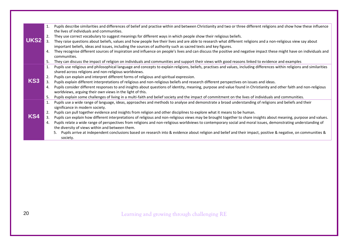|             | 1. | Pupils describe similarities and differences of belief and practise within and between Christianity and two or three different religions and show how these influence     |
|-------------|----|---------------------------------------------------------------------------------------------------------------------------------------------------------------------------|
| <b>UKS2</b> | 2. | the lives of individuals and communities.<br>They use correct vocabulary to suggest meanings for different ways in which people show their religious beliefs.             |
|             | 3. | They raise questions about beliefs, values and how people live their lives and are able to research what different religions and a non-religious view say about           |
|             |    | important beliefs, ideas and issues, including the sources of authority such as sacred texts and key figures.                                                             |
|             | 4. | They recognise different sources of inspiration and influence on people's lives and can discuss the positive and negative impact these might have on individuals and      |
|             |    | communities.                                                                                                                                                              |
|             | 5. | They can discuss the impact of religion on individuals and communities and support their views with good reasons linked to evidence and examples                          |
|             | 1. | Pupils use religious and philosophical language and concepts to explain religions, beliefs, practises and values, including differences within religions and similarities |
|             |    | shared across religions and non-religious worldviews.                                                                                                                     |
|             | 2. | Pupils can explain and interpret different forms of religious and spiritual expression.                                                                                   |
| KS3         | 3. | Pupils explain different interpretations of religious and non-religious beliefs and research different perspectives on issues and ideas.                                  |
|             | 4. | Pupils consider different responses to and insights about questions of identity, meaning, purpose and value found in Christianity and other faith and non-religious       |
|             |    | worldviews, arguing their own views in the light of this.                                                                                                                 |
|             | 5. | Pupils explain some challenges of living in a multi-faith and belief society and the impact of commitment on the lives of individuals and communities.                    |
|             | 1. | Pupils use a wide range of language, ideas, approaches and methods to analyse and demonstrate a broad understanding of religions and beliefs and their                    |
|             |    | significance in modern society.                                                                                                                                           |
|             | 2. | Pupils can pull together evidence and insights from religion and other disciplines to explore what it means to be human.                                                  |
| KS4         | 3. | Pupils can explain how different interpretations of religious and non-religious views may be brought together to share insights about meaning, purpose and values.        |
|             | 4. | Pupils relate a wide range of perspectives from religions and non-religious worldviews to contemporary social and moral issues, demonstrating understanding of            |
|             |    | the diversity of views within and between them.                                                                                                                           |
|             |    | Pupils arrive at independent conclusions based on research into & evidence about religion and belief and their impact, positive & negative, on communities &<br>5.        |
|             |    | society.                                                                                                                                                                  |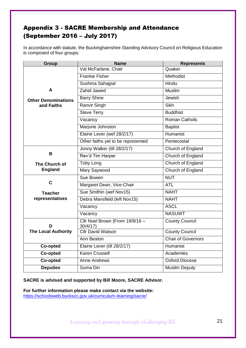## Appendix 3 - SACRE Membership and Attendance (September 2016 – July 2017)

In accordance with statute, the Buckinghamshire Standing Advisory Council on Religious Education is composed of four groups:

| <b>Group</b>               | <b>Name</b>                                 | <b>Represents</b>     |
|----------------------------|---------------------------------------------|-----------------------|
|                            | Val McFarlane, Chair                        | Quaker                |
|                            | <b>Frankie Fisher</b>                       | Methodist             |
|                            | Sushma Sahajpal                             | Hindu                 |
| A                          | Zahid Jawed                                 | Muslim                |
| <b>Other Denominations</b> | <b>Barry Shine</b>                          | Jewish                |
| and Faiths                 | Ranvir Singh                                | Sikh                  |
|                            | <b>Steve Terry</b>                          | <b>Buddhist</b>       |
|                            | Vacancy                                     | Roman Catholic        |
|                            | Marjorie Johnston                           | <b>Baptist</b>        |
|                            | Elaine Lever (wef 28/2/17)                  | Humanist              |
|                            | Other faiths yet to be represented          | Pentecostal           |
|                            | Jonny Walker (till 28/2/17)                 | Church of England     |
| В                          | Rev'd Tim Harper                            | Church of England     |
| The Church of              | <b>Toby Long</b>                            | Church of England     |
| <b>England</b>             | Mary Saywood                                | Church of England     |
|                            | Sue Bowen                                   | <b>NUT</b>            |
| $\mathbf C$                | Margaret Dean, Vice-Chair                   | <b>ATL</b>            |
| <b>Teacher</b>             | Sue Smithin (wef Nov15)                     | <b>NAHT</b>           |
| representatives            | Debra Mansfield (left Nov15)                | <b>NAHT</b>           |
|                            | Vacancy                                     | <b>ASCL</b>           |
|                            | Vacancy                                     | <b>NASUWT</b>         |
| D                          | Cllr Noel Brown (From 19/9/16 -<br>30/4/17) | <b>County Council</b> |
| <b>The Local Authority</b> | <b>Cllr David Watson</b>                    | <b>County Council</b> |
|                            | Ann Beaton                                  | Chair of Governors    |
| Co-opted                   | Elaine Lever (till 28/2/17)                 | Humanist              |
| Co-opted                   | <b>Karen Crussell</b>                       | Academies             |
| Co-opted                   | <b>Anne Andrews</b>                         | <b>Oxford Diocese</b> |
| <b>Deputies</b>            | Suma Din                                    | <b>Muslim Deputy</b>  |

**SACRE is advised and supported by Bill Moore, SACRE Advisor.**

**For further information please make contact via the website:** <https://schoolsweb.buckscc.gov.uk/curriculum-learning/sacre/>